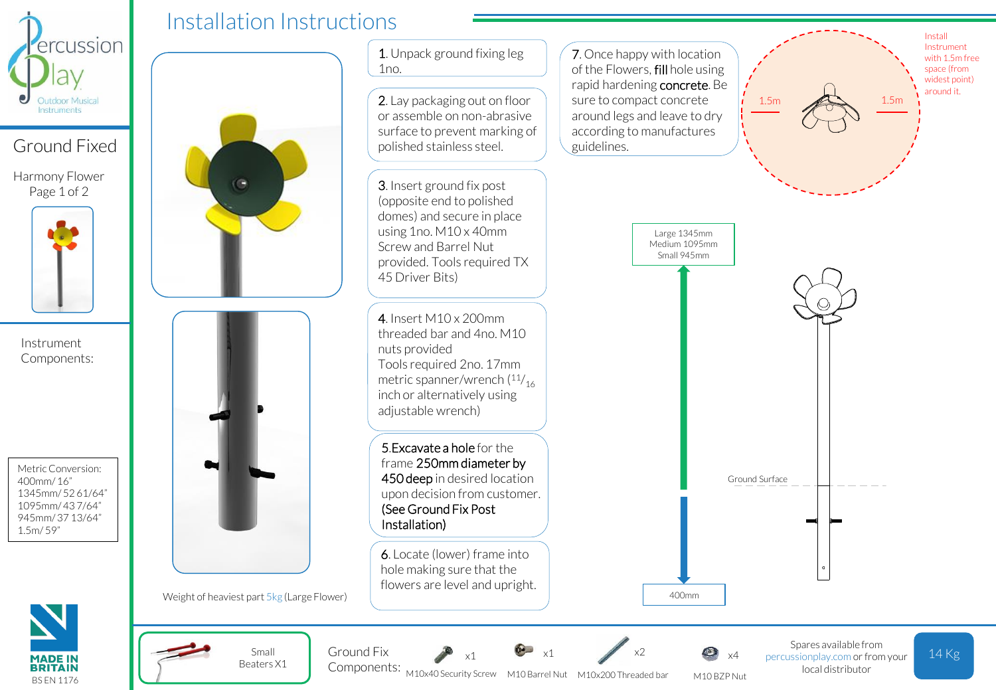

## Ground Fixed

Harmony Flower Page 1 of 2



Instrument Components:

Metric Conversion: 400mm/ 16" 1345mm/ 52 61/64" 1095mm/ 43 7/64" 945mm/ 37 13/64" 1.5m/ 59"





Weight of heaviest part 5kg (Large Flower)

Small Beaters X1 1. Unpack ground fixing leg  $1no.$ 

2. Lay packaging out on floor or assemble on non-abrasive surface to prevent marking of polished stainless steel.

3. Insert ground fix post (opposite end to polished domes) and secure in place using 1no. M10 x 40mm Screw and Barrel Nut provided. Tools required TX 45 Driver Bits)

Tools required 2no. 17mm metric spanner/wrench ( $\frac{11}{16}$ 4. Insert M10 x 200mm threaded bar and 4no. M10 nuts provided inch or alternatively using adjustable wrench)

5.Excavate a hole for the frame 250mm diameter by 450 deep in desired location upon decision from customer. (See Ground Fix Post Installation)

6. Locate (lower) frame into hole making sure that the flowers are level and upright. 7. Once happy with location of the Flowers, fill hole using rapid hardening concrete. Be sure to compact concrete around legs and leave to dry according to manufactures guidelines.

 $1.5m$   $1.5m$ 

Install Instrument with 1.5m free space (from widest point) around it.

Ground Surface Large 1345mm Medium 1095mm Small 945mm

M10 BZP Nut x4

400mm

Ground Fix  $x_1$   $x_2$   $x_3$   $x_4$  percussionplay.com or from your 14 Kg Spares available from local distributor

Components: M10x40 Security Screw M10 Barrel Nut x1

M10x200 Threaded bar

x2

x1